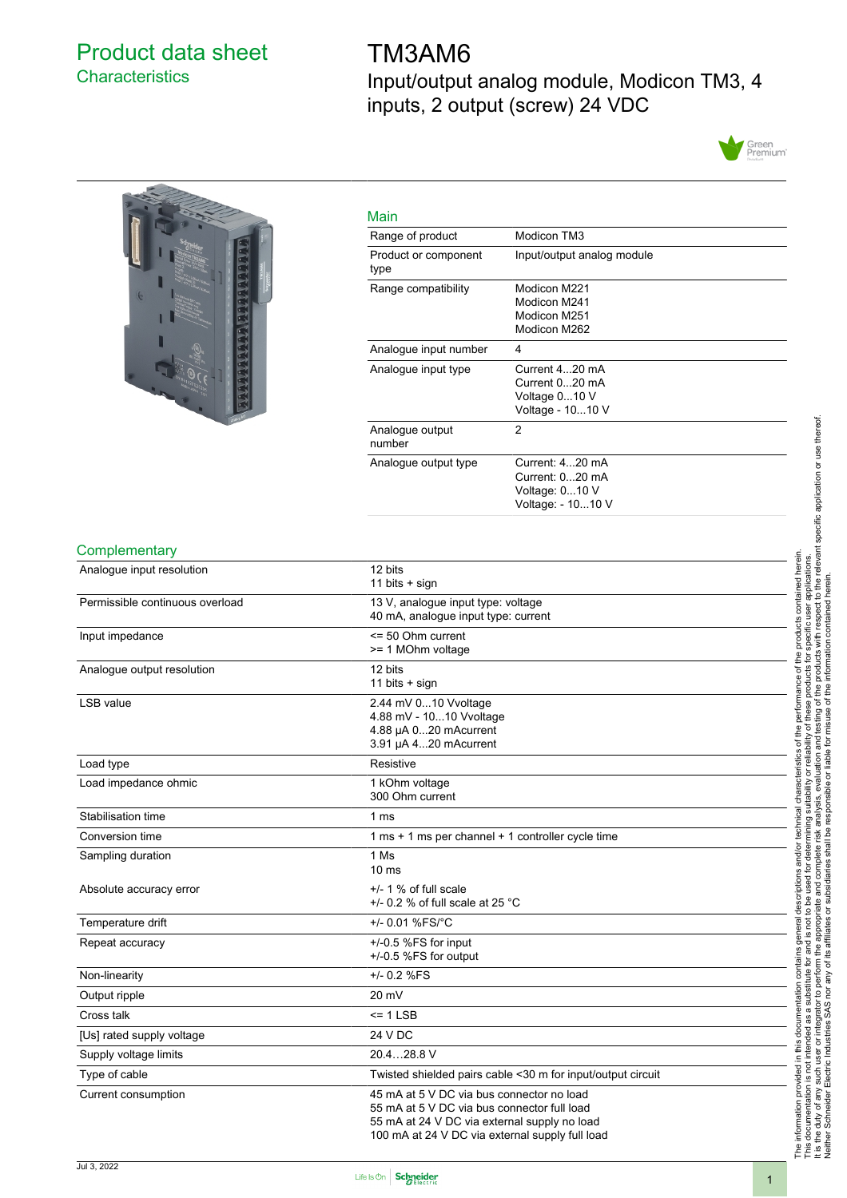### <span id="page-0-0"></span>Product data sheet **Characteristics**

# TM3AM6

Input/output analog module, Modicon TM3, 4 inputs, 2 output (screw) 24 VDC





| Main                         |                                                                           |
|------------------------------|---------------------------------------------------------------------------|
| Range of product             | Modicon TM3                                                               |
| Product or component<br>type | Input/output analog module                                                |
| Range compatibility          | Modicon M221<br>Modicon M241<br>Modicon M251<br>Modicon M262              |
| Analogue input number        | 4                                                                         |
| Analogue input type          | Current 420 mA<br>Current 020 mA<br>Voltage 010 V<br>Voltage - 1010 V     |
| Analogue output<br>number    | 2                                                                         |
| Analogue output type         | Current: 420 mA<br>Current: 020 mA<br>Voltage: 010 V<br>Voltage: - 1010 V |

#### **Complementary**

| Analogue input resolution       | 12 bits<br>11 bits + sign                                                                                                                                                                   |  |
|---------------------------------|---------------------------------------------------------------------------------------------------------------------------------------------------------------------------------------------|--|
| Permissible continuous overload | 13 V, analogue input type: voltage<br>40 mA, analogue input type: current                                                                                                                   |  |
| Input impedance                 | <= 50 Ohm current<br>>= 1 MOhm voltage                                                                                                                                                      |  |
| Analogue output resolution      | 12 bits<br>11 bits $+$ sign                                                                                                                                                                 |  |
| LSB value                       | 2.44 mV 010 Vvoltage<br>4.88 mV - 1010 Vvoltage<br>4.88 µA 020 mAcurrent<br>3.91 µA 420 mAcurrent                                                                                           |  |
| Load type                       | Resistive                                                                                                                                                                                   |  |
| Load impedance ohmic            | 1 kOhm voltage<br>300 Ohm current                                                                                                                                                           |  |
| Stabilisation time              | 1 ms                                                                                                                                                                                        |  |
| Conversion time                 | 1 ms + 1 ms per channel + 1 controller cycle time                                                                                                                                           |  |
| Sampling duration               | 1 Ms<br>10 <sub>ms</sub>                                                                                                                                                                    |  |
| Absolute accuracy error         | $+/- 1$ % of full scale<br>+/- 0.2 % of full scale at 25 $^{\circ}$ C                                                                                                                       |  |
| Temperature drift               | +/- 0.01 %FS/°C                                                                                                                                                                             |  |
| Repeat accuracy                 | $+/-0.5$ %FS for input<br>+/-0.5 %FS for output                                                                                                                                             |  |
| Non-linearity                   | +/- 0.2 %FS                                                                                                                                                                                 |  |
| Output ripple                   | 20 mV                                                                                                                                                                                       |  |
| Cross talk                      | $= 1$ LSB                                                                                                                                                                                   |  |
| [Us] rated supply voltage       | 24 V DC                                                                                                                                                                                     |  |
| Supply voltage limits           | 20.428.8 V                                                                                                                                                                                  |  |
| Type of cable                   | Twisted shielded pairs cable <30 m for input/output circuit                                                                                                                                 |  |
| Current consumption             | 45 mA at 5 V DC via bus connector no load<br>55 mA at 5 V DC via bus connector full load<br>55 mA at 24 V DC via external supply no load<br>100 mA at 24 V DC via external supply full load |  |

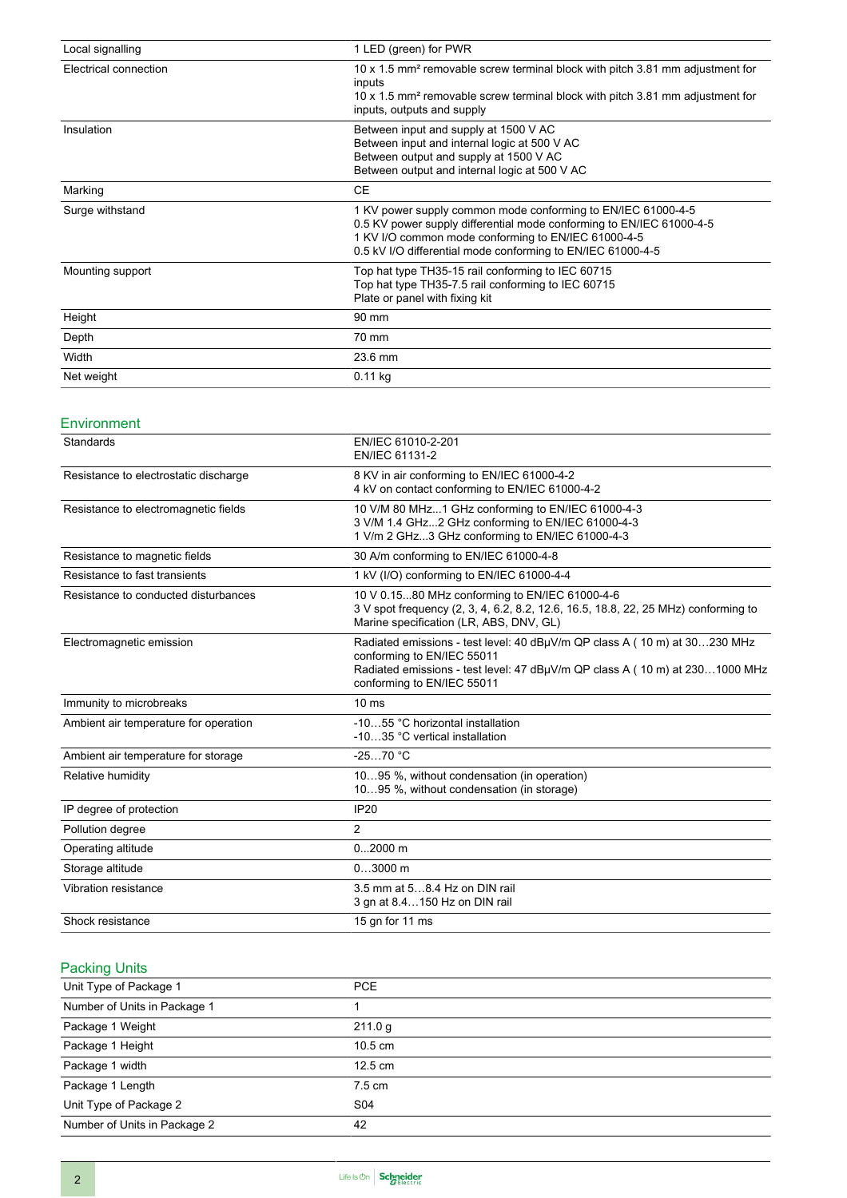| Local signalling      | 1 LED (green) for PWR                                                                                                                                                                                                                                      |
|-----------------------|------------------------------------------------------------------------------------------------------------------------------------------------------------------------------------------------------------------------------------------------------------|
| Electrical connection | 10 x 1.5 mm <sup>2</sup> removable screw terminal block with pitch 3.81 mm adjustment for<br>inputs<br>10 x 1.5 mm <sup>2</sup> removable screw terminal block with pitch 3.81 mm adjustment for<br>inputs, outputs and supply                             |
| Insulation            | Between input and supply at 1500 V AC<br>Between input and internal logic at 500 V AC<br>Between output and supply at 1500 V AC<br>Between output and internal logic at 500 V AC                                                                           |
| Marking               | <b>CE</b>                                                                                                                                                                                                                                                  |
| Surge withstand       | 1 KV power supply common mode conforming to EN/IEC 61000-4-5<br>0.5 KV power supply differential mode conforming to EN/IEC 61000-4-5<br>1 KV I/O common mode conforming to EN/IEC 61000-4-5<br>0.5 kV I/O differential mode conforming to EN/IEC 61000-4-5 |
| Mounting support      | Top hat type TH35-15 rail conforming to IEC 60715<br>Top hat type TH35-7.5 rail conforming to IEC 60715<br>Plate or panel with fixing kit                                                                                                                  |
| Height                | 90 mm                                                                                                                                                                                                                                                      |
| Depth                 | 70 mm                                                                                                                                                                                                                                                      |
| Width                 | 23.6 mm                                                                                                                                                                                                                                                    |
| Net weight            | $0.11$ kg                                                                                                                                                                                                                                                  |

### Environment

| Standards                             | EN/IEC 61010-2-201<br>EN/IEC 61131-2                                                                                                                                                                                 |
|---------------------------------------|----------------------------------------------------------------------------------------------------------------------------------------------------------------------------------------------------------------------|
| Resistance to electrostatic discharge | 8 KV in air conforming to EN/IEC 61000-4-2<br>4 kV on contact conforming to EN/IEC 61000-4-2                                                                                                                         |
| Resistance to electromagnetic fields  | 10 V/M 80 MHz1 GHz conforming to EN/IEC 61000-4-3<br>3 V/M 1.4 GHz2 GHz conforming to EN/IEC 61000-4-3<br>1 V/m 2 GHz3 GHz conforming to EN/IEC 61000-4-3                                                            |
| Resistance to magnetic fields         | 30 A/m conforming to EN/IEC 61000-4-8                                                                                                                                                                                |
| Resistance to fast transients         | 1 kV (I/O) conforming to EN/IEC 61000-4-4                                                                                                                                                                            |
| Resistance to conducted disturbances  | 10 V 0.1580 MHz conforming to EN/IEC 61000-4-6<br>3 V spot frequency (2, 3, 4, 6.2, 8.2, 12.6, 16.5, 18.8, 22, 25 MHz) conforming to<br>Marine specification (LR, ABS, DNV, GL)                                      |
| Electromagnetic emission              | Radiated emissions - test level: 40 dBµV/m QP class A (10 m) at 30230 MHz<br>conforming to EN/IEC 55011<br>Radiated emissions - test level: 47 dBµV/m QP class A (10 m) at 2301000 MHz<br>conforming to EN/IEC 55011 |
| Immunity to microbreaks               | 10 <sub>ms</sub>                                                                                                                                                                                                     |
| Ambient air temperature for operation | -1055 °C horizontal installation<br>-1035 °C vertical installation                                                                                                                                                   |
| Ambient air temperature for storage   | $-2570 °C$                                                                                                                                                                                                           |
| Relative humidity                     | 1095 %, without condensation (in operation)<br>1095 %, without condensation (in storage)                                                                                                                             |
| IP degree of protection               | <b>IP20</b>                                                                                                                                                                                                          |
| Pollution degree                      | $\overline{2}$                                                                                                                                                                                                       |
| Operating altitude                    | $02000$ m                                                                                                                                                                                                            |
| Storage altitude                      | $03000$ m                                                                                                                                                                                                            |
| Vibration resistance                  | 3.5 mm at 58.4 Hz on DIN rail<br>3 gn at 8.4150 Hz on DIN rail                                                                                                                                                       |
| Shock resistance                      | 15 gn for 11 ms                                                                                                                                                                                                      |

### Packing Units

| Unit Type of Package 1       | PCE.              |  |
|------------------------------|-------------------|--|
| Number of Units in Package 1 |                   |  |
| Package 1 Weight             | 211.0 g           |  |
| Package 1 Height             | $10.5 \text{ cm}$ |  |
| Package 1 width              | 12.5 cm           |  |
| Package 1 Length             | 7.5 cm            |  |
| Unit Type of Package 2       | S04               |  |
| Number of Units in Package 2 | 42                |  |
|                              |                   |  |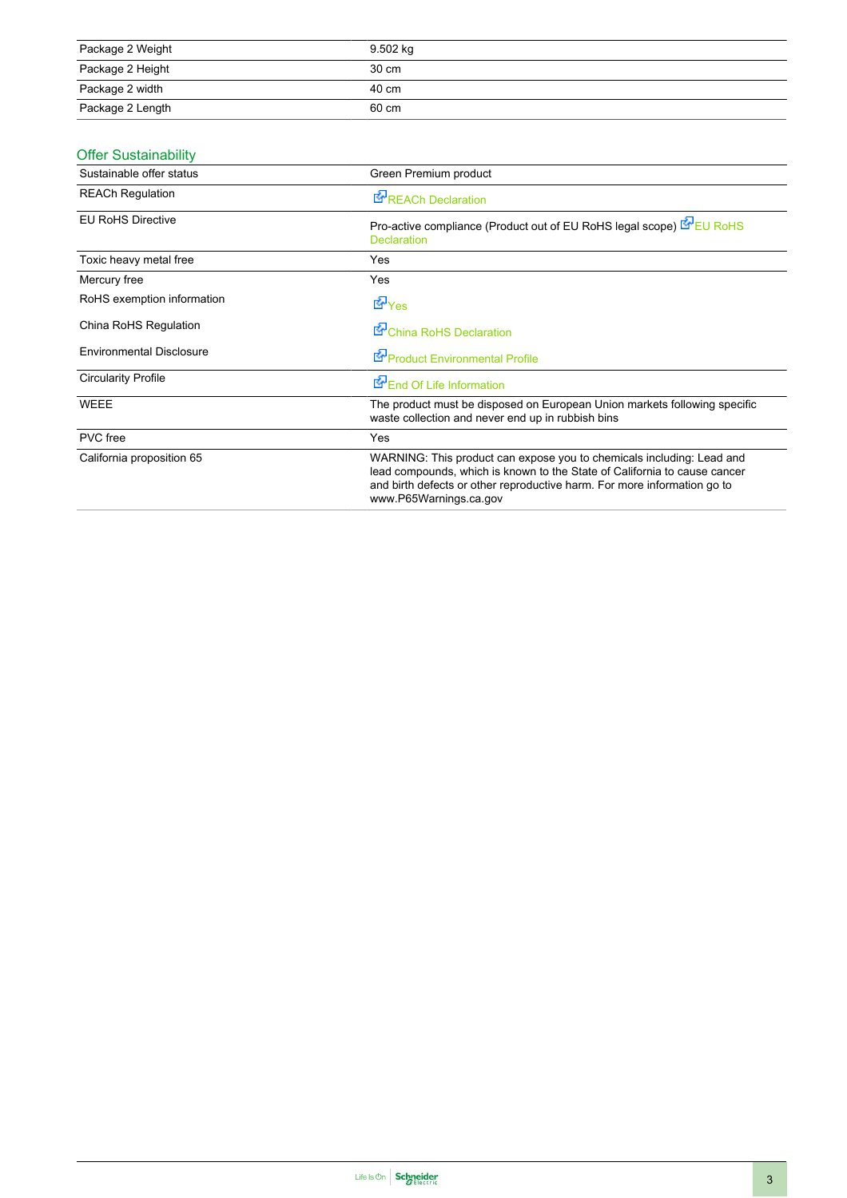| Package 2 Weight | 9.502 kg |
|------------------|----------|
| Package 2 Height | 30 cm    |
| Package 2 width  | 40 cm    |
| Package 2 Length | 60 cm    |

### Offer Sustainability

| Sustainable offer status        | Green Premium product                                                                                                                                                                                                                                    |
|---------------------------------|----------------------------------------------------------------------------------------------------------------------------------------------------------------------------------------------------------------------------------------------------------|
| <b>REACh Regulation</b>         | <b>E</b> <sup>P</sup> REACh Declaration                                                                                                                                                                                                                  |
| <b>EU RoHS Directive</b>        | Pro-active compliance (Product out of EU RoHS legal scope) EU RoHS<br><b>Declaration</b>                                                                                                                                                                 |
| Toxic heavy metal free          | <b>Yes</b>                                                                                                                                                                                                                                               |
| Mercury free                    | Yes                                                                                                                                                                                                                                                      |
| RoHS exemption information      | d Yes                                                                                                                                                                                                                                                    |
| China RoHS Regulation           | China RoHS Declaration                                                                                                                                                                                                                                   |
| <b>Environmental Disclosure</b> | Product Environmental Profile                                                                                                                                                                                                                            |
| <b>Circularity Profile</b>      | End Of Life Information                                                                                                                                                                                                                                  |
| <b>WEEE</b>                     | The product must be disposed on European Union markets following specific<br>waste collection and never end up in rubbish bins                                                                                                                           |
| PVC free                        | Yes                                                                                                                                                                                                                                                      |
| California proposition 65       | WARNING: This product can expose you to chemicals including: Lead and<br>lead compounds, which is known to the State of California to cause cancer<br>and birth defects or other reproductive harm. For more information go to<br>www.P65Warnings.ca.gov |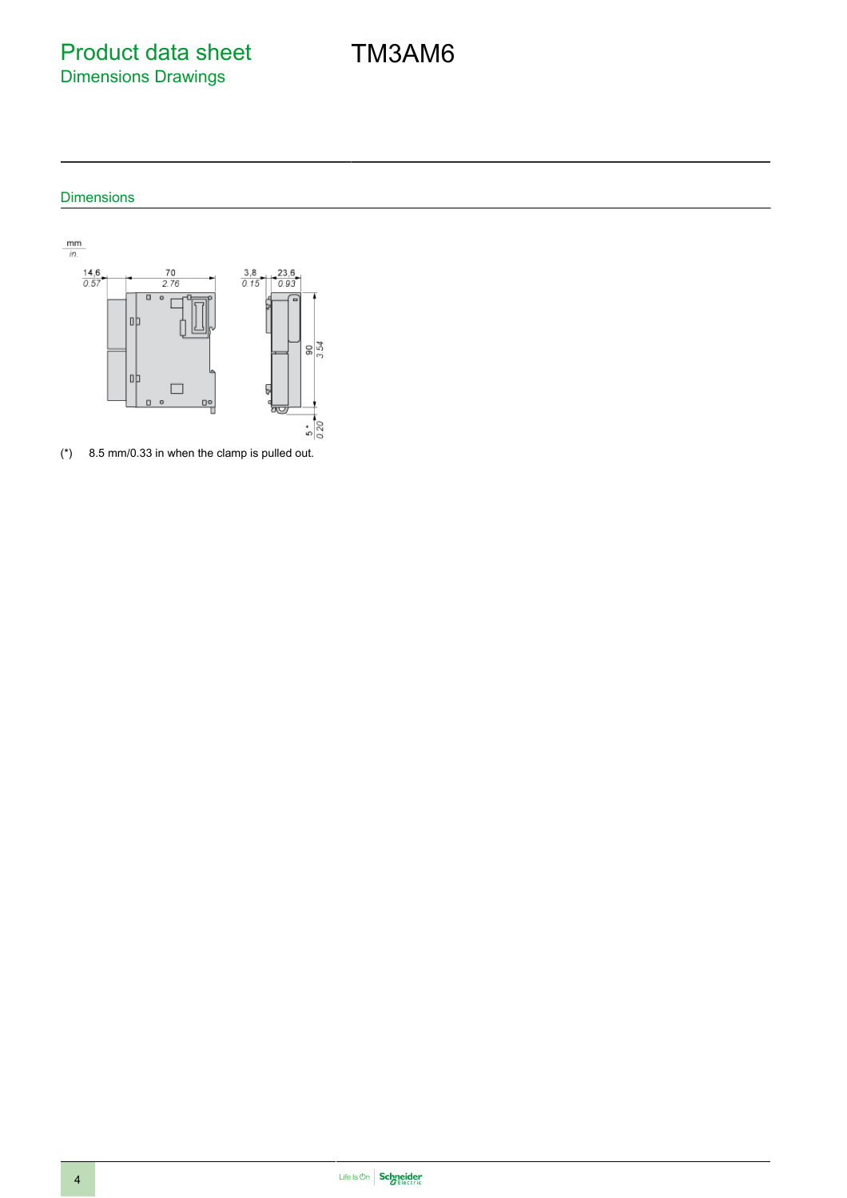Product data sheet Dimensions Drawings

### Dimensions



(\*) 8.5 mm/0.33 in when the clamp is pulled out.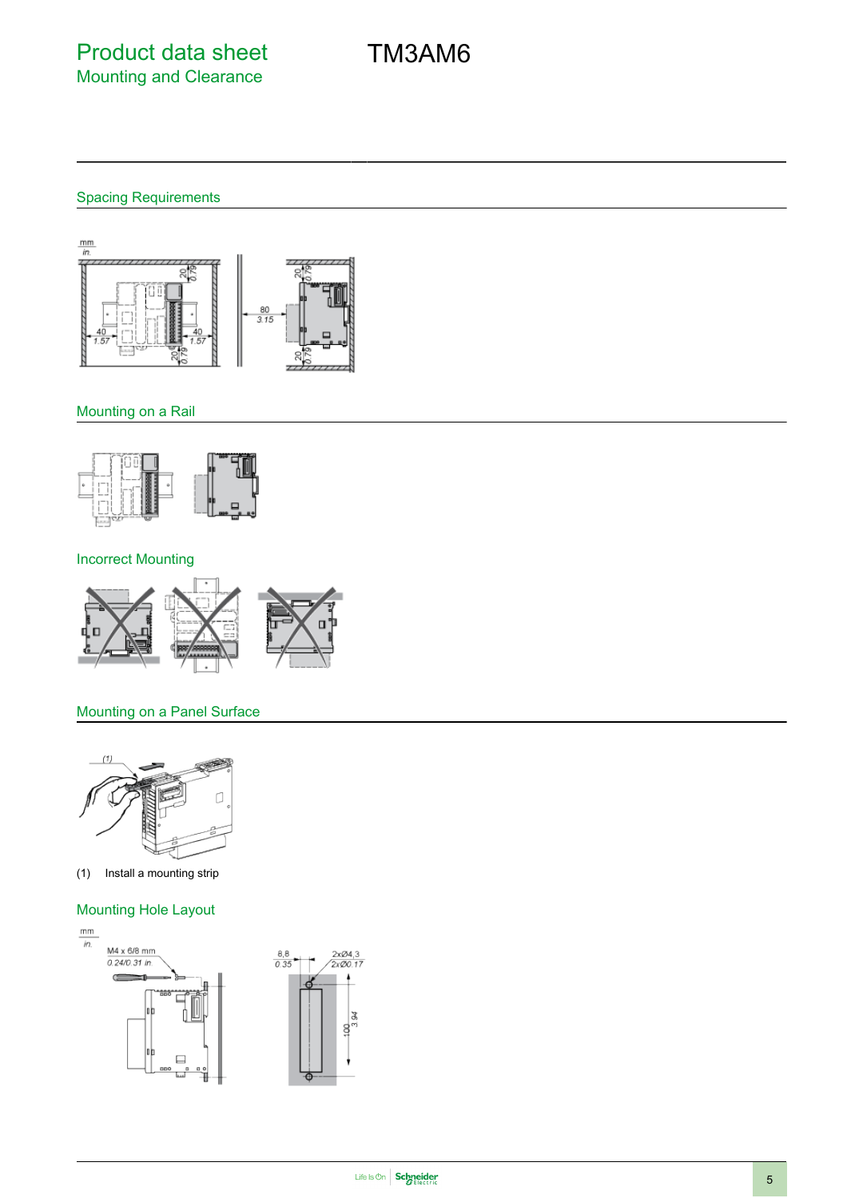## Spacing Requirements



### Mounting on a Rail



#### Incorrect Mounting



### Mounting on a Panel Surface



(1) Install a mounting strip

### Mounting Hole Layout